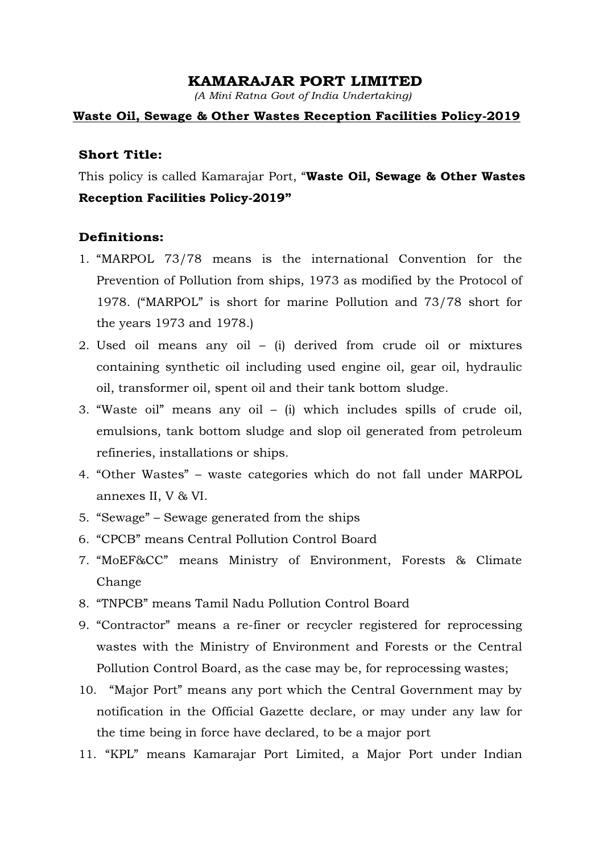### KAMARAJAR PORT LIMITED

(A Mini Ratna Govt of India Undertaking)

### Waste Oil, Sewage & Other Wastes Reception Facilities Policy-2019

### Short Title:

This policy is called Kamarajar Port, "Waste Oil, Sewage & Other Wastes Reception Facilities Policy-2019"

### Definitions:

- 1. "MARPOL 73/78 means is the international Convention for the Prevention of Pollution from ships, 1973 as modified by the Protocol of 1978. ("MARPOL" is short for marine Pollution and 73/78 short for the years 1973 and 1978.)
- 2. Used oil means any oil (i) derived from crude oil or mixtures containing synthetic oil including used engine oil, gear oil, hydraulic oil, transformer oil, spent oil and their tank bottom sludge.
- 3. "Waste oil" means any oil (i) which includes spills of crude oil, emulsions, tank bottom sludge and slop oil generated from petroleum refineries, installations or ships.
- 4. "Other Wastes" waste categories which do not fall under MARPOL annexes II, V & VI.
- 5. "Sewage" Sewage generated from the ships
- 6. "CPCB" means Central Pollution Control Board
- 7. "MoEF&CC" means Ministry of Environment, Forests & Climate Change
- 8. "TNPCB" means Tamil Nadu Pollution Control Board
- 9. "Contractor" means a re-finer or recycler registered for reprocessing wastes with the Ministry of Environment and Forests or the Central Pollution Control Board, as the case may be, for reprocessing wastes;
- 10. "Major Port" means any port which the Central Government may by notification in the Official Gazette declare, or may under any law for the time being in force have declared, to be a major port
- 11. "KPL" means Kamarajar Port Limited, a Major Port under Indian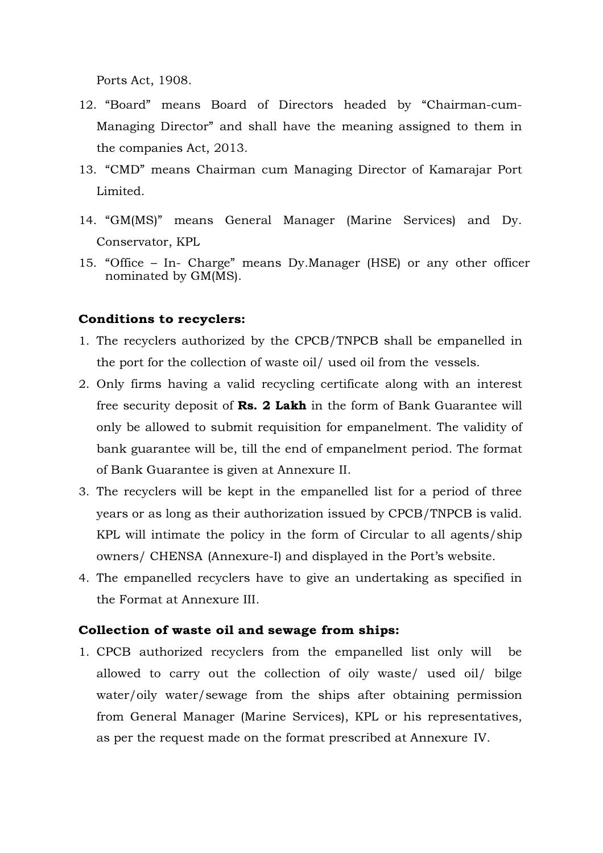Ports Act, 1908.

- 12. "Board" means Board of Directors headed by "Chairman-cum-Managing Director" and shall have the meaning assigned to them in the companies Act, 2013.
- 13. "CMD" means Chairman cum Managing Director of Kamarajar Port Limited.
- 14. "GM(MS)" means General Manager (Marine Services) and Dy. Conservator, KPL
- 15. "Office In- Charge" means Dy.Manager (HSE) or any other officer nominated by GM(MS).

### Conditions to recyclers:

- 1. The recyclers authorized by the CPCB/TNPCB shall be empanelled in the port for the collection of waste oil/ used oil from the vessels.
- 2. Only firms having a valid recycling certificate along with an interest free security deposit of Rs. 2 Lakh in the form of Bank Guarantee will only be allowed to submit requisition for empanelment. The validity of bank guarantee will be, till the end of empanelment period. The format of Bank Guarantee is given at Annexure II.
- 3. The recyclers will be kept in the empanelled list for a period of three years or as long as their authorization issued by CPCB/TNPCB is valid. KPL will intimate the policy in the form of Circular to all agents/ship owners/ CHENSA (Annexure-I) and displayed in the Port's website.
- 4. The empanelled recyclers have to give an undertaking as specified in the Format at Annexure III.

### Collection of waste oil and sewage from ships:

1. CPCB authorized recyclers from the empanelled list only will be allowed to carry out the collection of oily waste/ used oil/ bilge water/oily water/sewage from the ships after obtaining permission from General Manager (Marine Services), KPL or his representatives, as per the request made on the format prescribed at Annexure IV.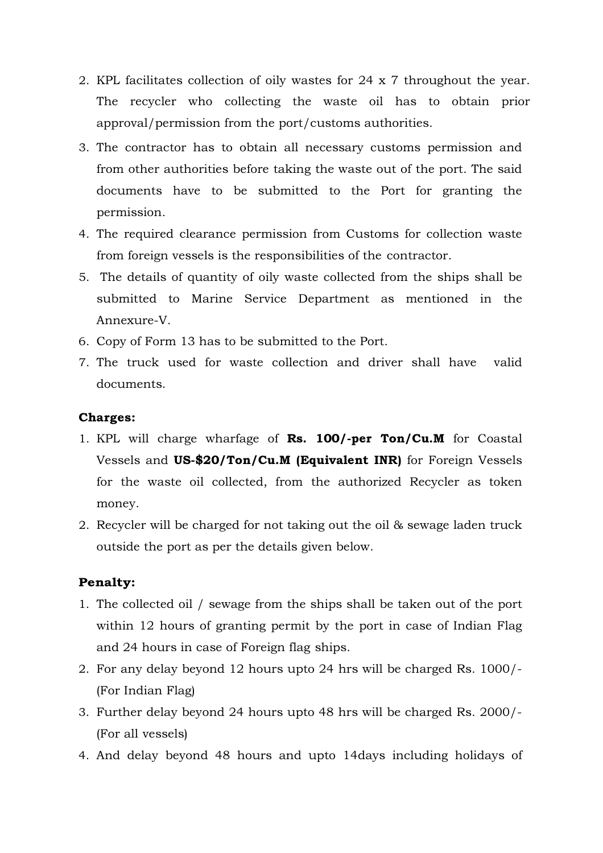- 2. KPL facilitates collection of oily wastes for 24 x 7 throughout the year. The recycler who collecting the waste oil has to obtain prior approval/permission from the port/customs authorities.
- 3. The contractor has to obtain all necessary customs permission and from other authorities before taking the waste out of the port. The said documents have to be submitted to the Port for granting the permission.
- 4. The required clearance permission from Customs for collection waste from foreign vessels is the responsibilities of the contractor.
- 5. The details of quantity of oily waste collected from the ships shall be submitted to Marine Service Department as mentioned in the Annexure-V.
- 6. Copy of Form 13 has to be submitted to the Port.
- 7. The truck used for waste collection and driver shall have valid documents.

### Charges:

- 1. KPL will charge wharfage of Rs. 100/-per Ton/Cu.M for Coastal Vessels and US-\$20/Ton/Cu.M (Equivalent INR) for Foreign Vessels for the waste oil collected, from the authorized Recycler as token money.
- 2. Recycler will be charged for not taking out the oil & sewage laden truck outside the port as per the details given below.

### Penalty:

- 1. The collected oil / sewage from the ships shall be taken out of the port within 12 hours of granting permit by the port in case of Indian Flag and 24 hours in case of Foreign flag ships.
- 2. For any delay beyond 12 hours upto 24 hrs will be charged Rs. 1000/- (For Indian Flag)
- 3. Further delay beyond 24 hours upto 48 hrs will be charged Rs. 2000/- (For all vessels)
- 4. And delay beyond 48 hours and upto 14days including holidays of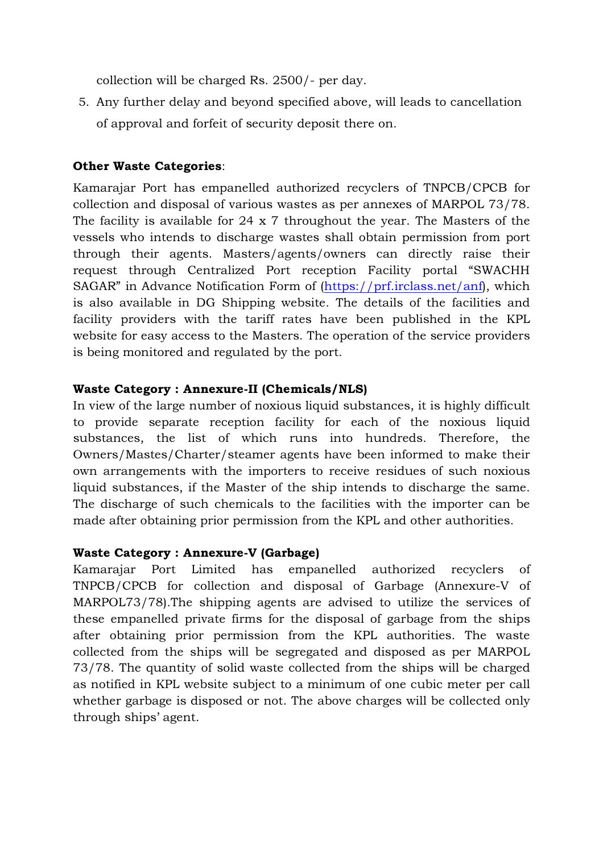collection will be charged Rs. 2500/- per day.

5. Any further delay and beyond specified above, will leads to cancellation of approval and forfeit of security deposit there on.

## Other Waste Categories:

Kamarajar Port has empanelled authorized recyclers of TNPCB/CPCB for collection and disposal of various wastes as per annexes of MARPOL 73/78. The facility is available for 24 x 7 throughout the year. The Masters of the vessels who intends to discharge wastes shall obtain permission from port through their agents. Masters/agents/owners can directly raise their request through Centralized Port reception Facility portal "SWACHH SAGAR" in Advance Notification Form of (https://prf.irclass.net/anf), which is also available in DG Shipping website. The details of the facilities and facility providers with the tariff rates have been published in the KPL website for easy access to the Masters. The operation of the service providers is being monitored and regulated by the port.

### Waste Category : Annexure-II (Chemicals/NLS)

In view of the large number of noxious liquid substances, it is highly difficult to provide separate reception facility for each of the noxious liquid substances, the list of which runs into hundreds. Therefore, the Owners/Mastes/Charter/steamer agents have been informed to make their own arrangements with the importers to receive residues of such noxious liquid substances, if the Master of the ship intends to discharge the same. The discharge of such chemicals to the facilities with the importer can be made after obtaining prior permission from the KPL and other authorities.

### Waste Category : Annexure-V (Garbage)

Kamarajar Port Limited has empanelled authorized recyclers of TNPCB/CPCB for collection and disposal of Garbage (Annexure-V of MARPOL73/78).The shipping agents are advised to utilize the services of these empanelled private firms for the disposal of garbage from the ships after obtaining prior permission from the KPL authorities. The waste collected from the ships will be segregated and disposed as per MARPOL 73/78. The quantity of solid waste collected from the ships will be charged as notified in KPL website subject to a minimum of one cubic meter per call whether garbage is disposed or not. The above charges will be collected only through ships' agent.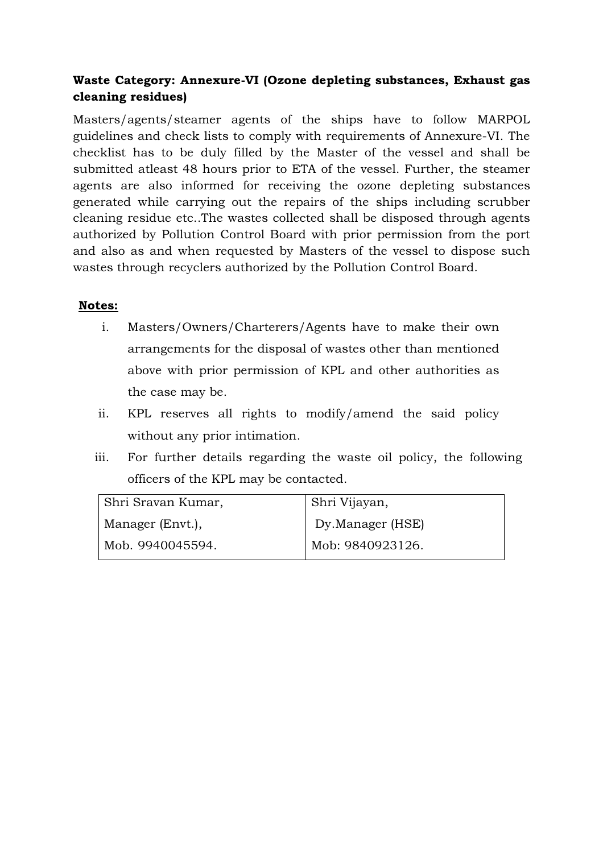# Waste Category: Annexure-VI (Ozone depleting substances, Exhaust gas cleaning residues)

Masters/agents/steamer agents of the ships have to follow MARPOL guidelines and check lists to comply with requirements of Annexure-VI. The checklist has to be duly filled by the Master of the vessel and shall be submitted atleast 48 hours prior to ETA of the vessel. Further, the steamer agents are also informed for receiving the ozone depleting substances generated while carrying out the repairs of the ships including scrubber cleaning residue etc..The wastes collected shall be disposed through agents authorized by Pollution Control Board with prior permission from the port and also as and when requested by Masters of the vessel to dispose such wastes through recyclers authorized by the Pollution Control Board.

# Notes:

- i. Masters/Owners/Charterers/Agents have to make their own arrangements for the disposal of wastes other than mentioned above with prior permission of KPL and other authorities as the case may be.
- ii. KPL reserves all rights to modify/amend the said policy without any prior intimation.
- iii. For further details regarding the waste oil policy, the following officers of the KPL may be contacted.

| Shri Vijayan,    |
|------------------|
| Dy.Manager (HSE) |
| Mob: 9840923126. |
|                  |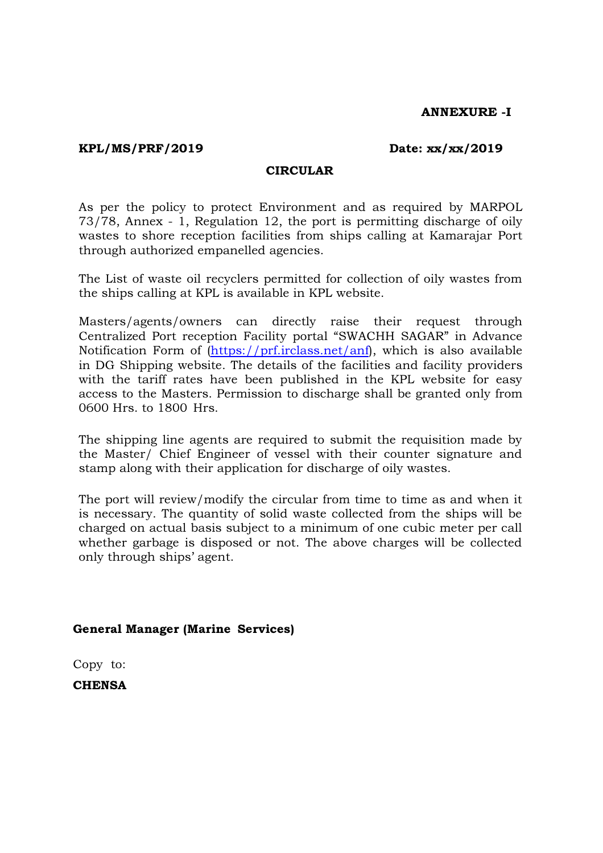### ANNEXURE -I

### KPL/MS/PRF/2019 Date: xx/xx/2019

### **CIRCULAR**

As per the policy to protect Environment and as required by MARPOL 73/78, Annex - 1, Regulation 12, the port is permitting discharge of oily wastes to shore reception facilities from ships calling at Kamarajar Port through authorized empanelled agencies.

The List of waste oil recyclers permitted for collection of oily wastes from the ships calling at KPL is available in KPL website.

Masters/agents/owners can directly raise their request through Centralized Port reception Facility portal "SWACHH SAGAR" in Advance Notification Form of (https://prf.irclass.net/anf), which is also available in DG Shipping website. The details of the facilities and facility providers with the tariff rates have been published in the KPL website for easy access to the Masters. Permission to discharge shall be granted only from 0600 Hrs. to 1800 Hrs.

The shipping line agents are required to submit the requisition made by the Master/ Chief Engineer of vessel with their counter signature and stamp along with their application for discharge of oily wastes.

The port will review/modify the circular from time to time as and when it is necessary. The quantity of solid waste collected from the ships will be charged on actual basis subject to a minimum of one cubic meter per call whether garbage is disposed or not. The above charges will be collected only through ships' agent.

### General Manager (Marine Services)

Copy to:

**CHENSA**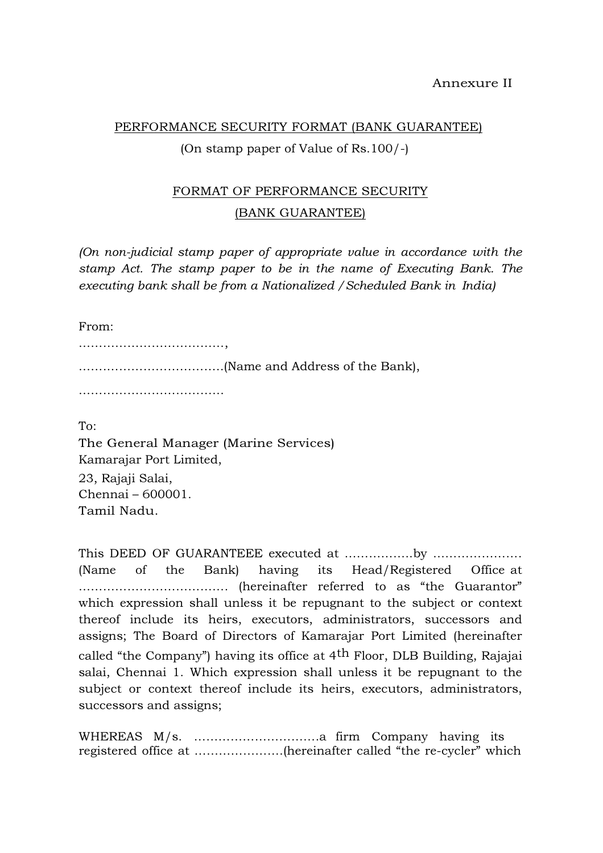### PERFORMANCE SECURITY FORMAT (BANK GUARANTEE)

### (On stamp paper of Value of Rs.100/-)

# FORMAT OF PERFORMANCE SECURITY (BANK GUARANTEE)

(On non-judicial stamp paper of appropriate value in accordance with the stamp Act. The stamp paper to be in the name of Executing Bank. The executing bank shall be from a Nationalized /Scheduled Bank in India)

From:

………………………………, …….………………………..(Name and Address of the Bank),

………………………………………

To: The General Manager (Marine Services) Kamarajar Port Limited, 23, Rajaji Salai, Chennai – 600001. Tamil Nadu.

This DEED OF GUARANTEEE executed at ……………..by …………………. (Name of the Bank) having its Head/Registered Office at ………………………………. (hereinafter referred to as "the Guarantor" which expression shall unless it be repugnant to the subject or context thereof include its heirs, executors, administrators, successors and assigns; The Board of Directors of Kamarajar Port Limited (hereinafter called "the Company") having its office at 4th Floor, DLB Building, Rajajai salai, Chennai 1. Which expression shall unless it be repugnant to the subject or context thereof include its heirs, executors, administrators, successors and assigns;

WHEREAS M/s. ………………………….a firm Company having its registered office at ………………….(hereinafter called "the re-cycler" which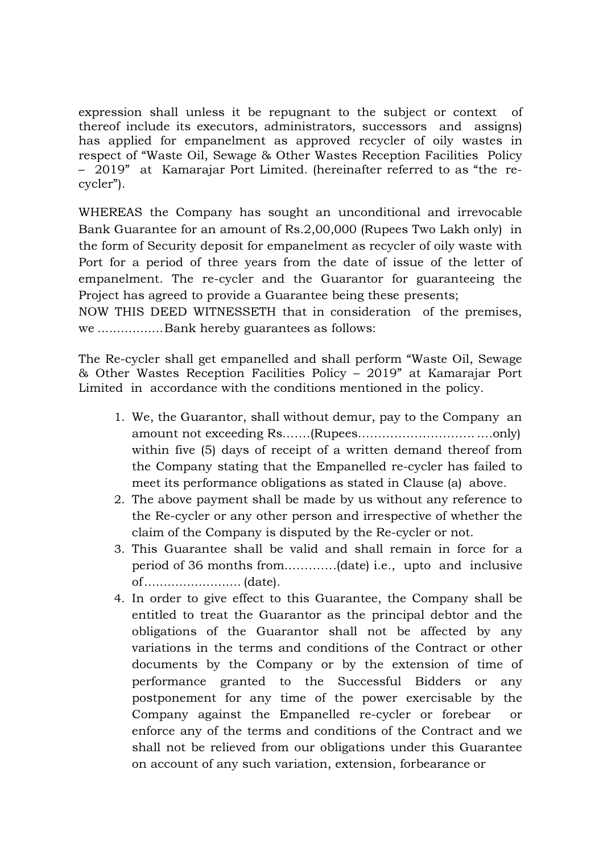expression shall unless it be repugnant to the subject or context of thereof include its executors, administrators, successors and assigns) has applied for empanelment as approved recycler of oily wastes in respect of "Waste Oil, Sewage & Other Wastes Reception Facilities Policy – 2019" at Kamarajar Port Limited. (hereinafter referred to as "the recycler").

WHEREAS the Company has sought an unconditional and irrevocable Bank Guarantee for an amount of Rs.2,00,000 (Rupees Two Lakh only) in the form of Security deposit for empanelment as recycler of oily waste with Port for a period of three years from the date of issue of the letter of empanelment. The re-cycler and the Guarantor for guaranteeing the Project has agreed to provide a Guarantee being these presents;

NOW THIS DEED WITNESSETH that in consideration of the premises, we ................. Bank hereby guarantees as follows:

The Re-cycler shall get empanelled and shall perform "Waste Oil, Sewage & Other Wastes Reception Facilities Policy – 2019" at Kamarajar Port Limited in accordance with the conditions mentioned in the policy.

- 1. We, the Guarantor, shall without demur, pay to the Company an amount not exceeding Rs…….(Rupees……………………….. ….only) within five (5) days of receipt of a written demand thereof from the Company stating that the Empanelled re-cycler has failed to meet its performance obligations as stated in Clause (a) above.
- 2. The above payment shall be made by us without any reference to the Re-cycler or any other person and irrespective of whether the claim of the Company is disputed by the Re-cycler or not.
- 3. This Guarantee shall be valid and shall remain in force for a period of 36 months from………….(date) i.e., upto and inclusive of ......................... (date).
- 4. In order to give effect to this Guarantee, the Company shall be entitled to treat the Guarantor as the principal debtor and the obligations of the Guarantor shall not be affected by any variations in the terms and conditions of the Contract or other documents by the Company or by the extension of time of performance granted to the Successful Bidders or any postponement for any time of the power exercisable by the Company against the Empanelled re-cycler or forebear or enforce any of the terms and conditions of the Contract and we shall not be relieved from our obligations under this Guarantee on account of any such variation, extension, forbearance or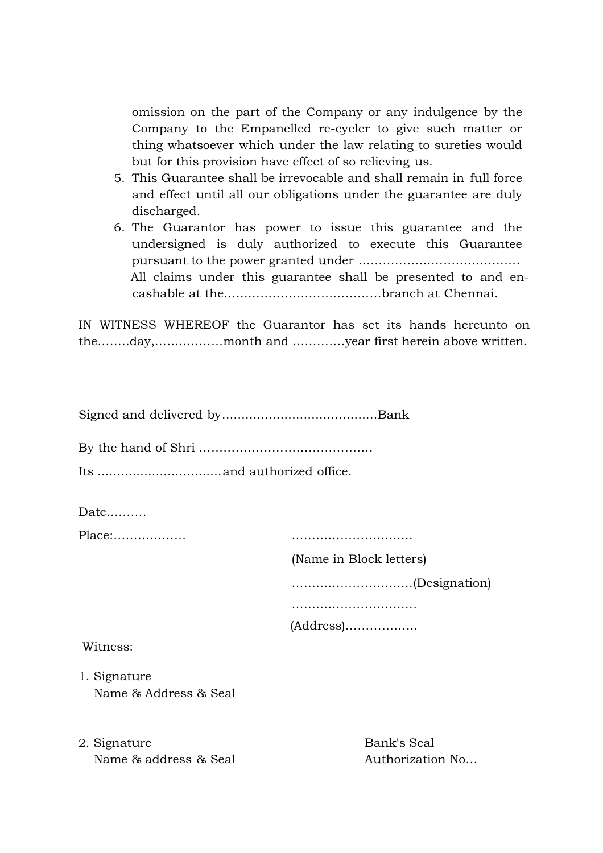omission on the part of the Company or any indulgence by the Company to the Empanelled re-cycler to give such matter or thing whatsoever which under the law relating to sureties would but for this provision have effect of so relieving us.

- 5. This Guarantee shall be irrevocable and shall remain in full force and effect until all our obligations under the guarantee are duly discharged.
- 6. The Guarantor has power to issue this guarantee and the undersigned is duly authorized to execute this Guarantee pursuant to the power granted under …………………………………. All claims under this guarantee shall be presented to and encashable at the…………………………………branch at Chennai.

IN WITNESS WHEREOF the Guarantor has set its hands hereunto on the……..day,……..………month and ………….year first herein above written.

|--|--|--|

By the hand of Shri …………………………………….

Its ................................ and authorized office.

Date……….

Place:……………… …………………………

(Name in Block letters)

…………………………(Designation)

……………………………………

(Address)……………...

Witness:

- 1. Signature Name & Address & Seal
- 2. Signature Bank's Seal Name & address & Seal Authorization No...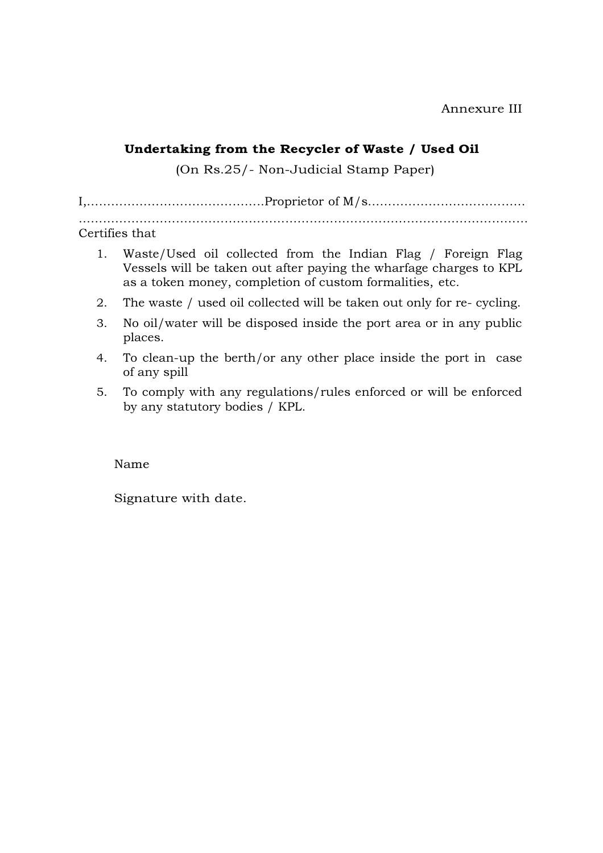## Undertaking from the Recycler of Waste / Used Oil

(On Rs.25/- Non-Judicial Stamp Paper)

I,……………………………………..Proprietor of M/s………………………………… …………………………………………………………………………………………………

Certifies that

- 1. Waste/Used oil collected from the Indian Flag / Foreign Flag Vessels will be taken out after paying the wharfage charges to KPL as a token money, completion of custom formalities, etc.
- 2. The waste / used oil collected will be taken out only for re- cycling.
- 3. No oil/water will be disposed inside the port area or in any public places.
- 4. To clean-up the berth/or any other place inside the port in case of any spill
- 5. To comply with any regulations/rules enforced or will be enforced by any statutory bodies / KPL.

Name

Signature with date.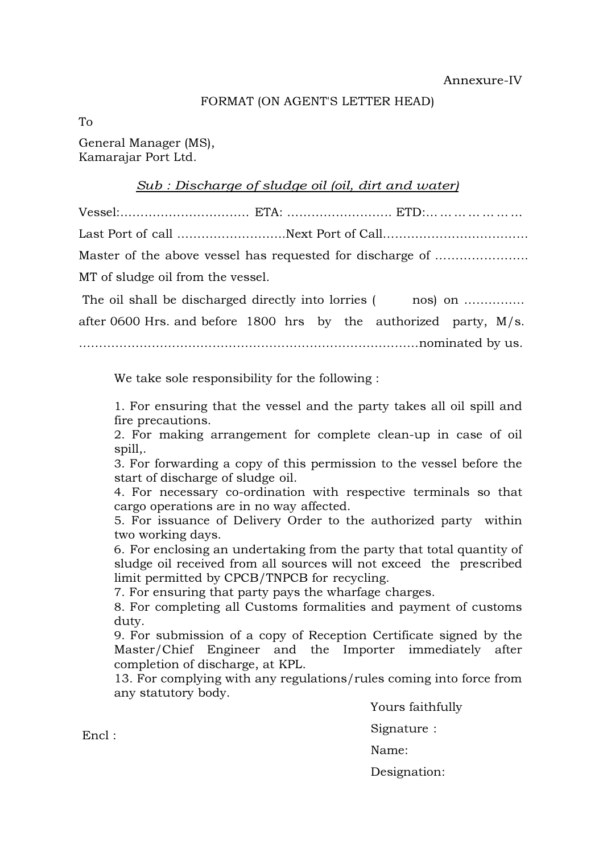### FORMAT (ON AGENT'S LETTER HEAD)

To

General Manager (MS), Kamarajar Port Ltd.

### Sub : Discharge of sludge oil (oil, dirt and water)

Vessel:………………………….. ETA: …………………….. ETD:… … … … … … … Last Port of call ……………………...Next Port of Call……………………………… Master of the above vessel has requested for discharge of ………………….. MT of sludge oil from the vessel. The oil shall be discharged directly into lorries (nos) on ................ after 0600 Hrs. and before 1800 hrs by the authorized party, M/s.

…………………………………………………………………………nominated by us.

We take sole responsibility for the following :

1. For ensuring that the vessel and the party takes all oil spill and fire precautions.

2. For making arrangement for complete clean-up in case of oil spill,.

3. For forwarding a copy of this permission to the vessel before the start of discharge of sludge oil.

4. For necessary co-ordination with respective terminals so that cargo operations are in no way affected.

5. For issuance of Delivery Order to the authorized party within two working days.

6. For enclosing an undertaking from the party that total quantity of sludge oil received from all sources will not exceed the prescribed limit permitted by CPCB/TNPCB for recycling.

7. For ensuring that party pays the wharfage charges.

8. For completing all Customs formalities and payment of customs duty.

9. For submission of a copy of Reception Certificate signed by the Master/Chief Engineer and the Importer immediately after completion of discharge, at KPL.

13. For complying with any regulations/rules coming into force from any statutory body.

Yours faithfully

Signature :

Name:

Designation:

Encl :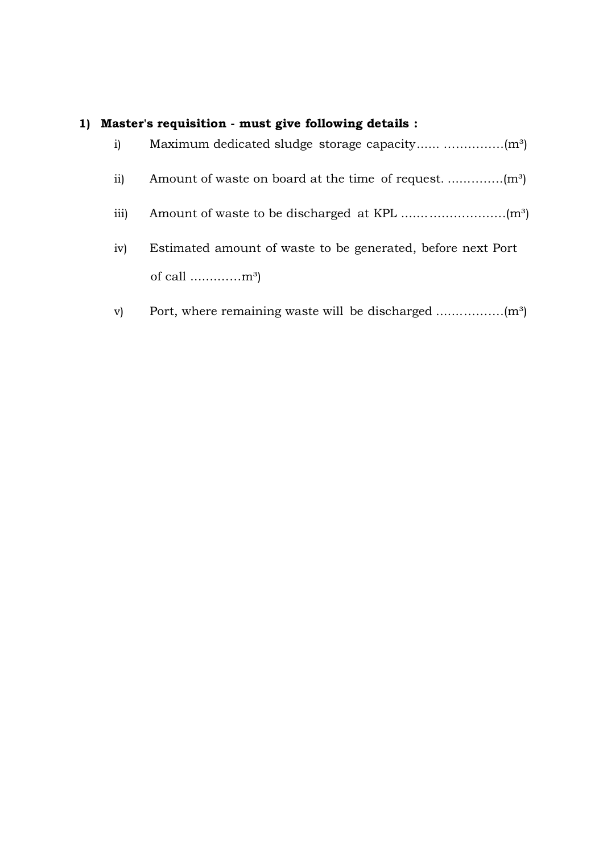# 1) Master's requisition - must give following details :

| i)   |                                                             |
|------|-------------------------------------------------------------|
| ii)  |                                                             |
| iii) |                                                             |
| iv)  | Estimated amount of waste to be generated, before next Port |
|      | of call $\dots\dots\dots\dots m^3$                          |

v) Port, where remaining waste will be discharged ....... ……….(m³)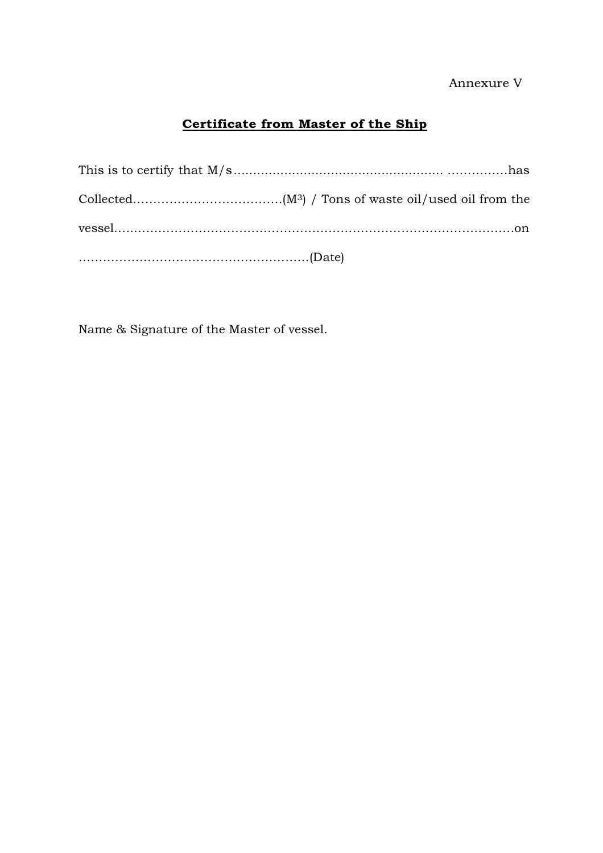## Annexure V

# Certificate from Master of the Ship

Name & Signature of the Master of vessel.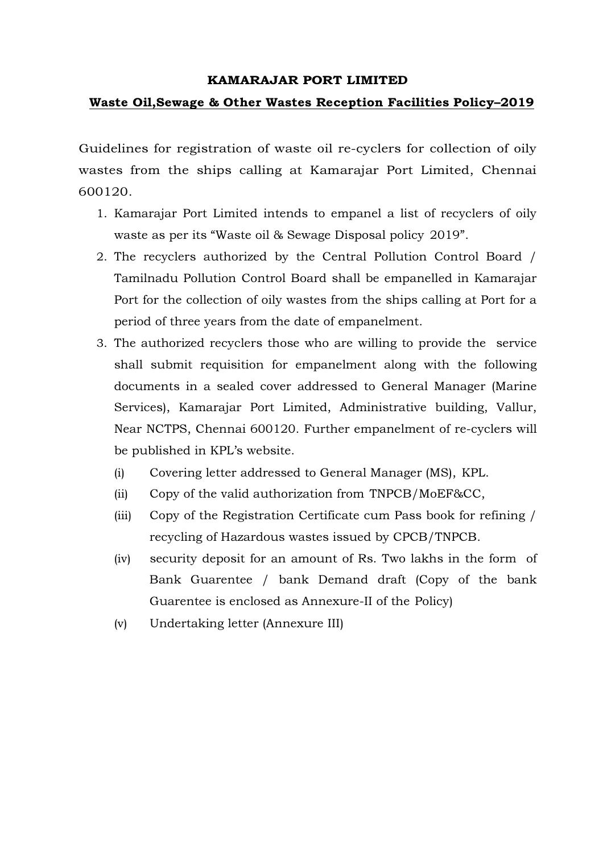### KAMARAJAR PORT LIMITED

### Waste Oil,Sewage & Other Wastes Reception Facilities Policy–2019

Guidelines for registration of waste oil re-cyclers for collection of oily wastes from the ships calling at Kamarajar Port Limited, Chennai 600120.

- 1. Kamarajar Port Limited intends to empanel a list of recyclers of oily waste as per its "Waste oil & Sewage Disposal policy 2019".
- 2. The recyclers authorized by the Central Pollution Control Board / Tamilnadu Pollution Control Board shall be empanelled in Kamarajar Port for the collection of oily wastes from the ships calling at Port for a period of three years from the date of empanelment.
- 3. The authorized recyclers those who are willing to provide the service shall submit requisition for empanelment along with the following documents in a sealed cover addressed to General Manager (Marine Services), Kamarajar Port Limited, Administrative building, Vallur, Near NCTPS, Chennai 600120. Further empanelment of re-cyclers will be published in KPL's website.
	- (i) Covering letter addressed to General Manager (MS), KPL.
	- (ii) Copy of the valid authorization from TNPCB/MoEF&CC,
	- (iii) Copy of the Registration Certificate cum Pass book for refining / recycling of Hazardous wastes issued by CPCB/TNPCB.
	- (iv) security deposit for an amount of Rs. Two lakhs in the form of Bank Guarentee / bank Demand draft (Copy of the bank Guarentee is enclosed as Annexure-II of the Policy)
	- (v) Undertaking letter (Annexure III)